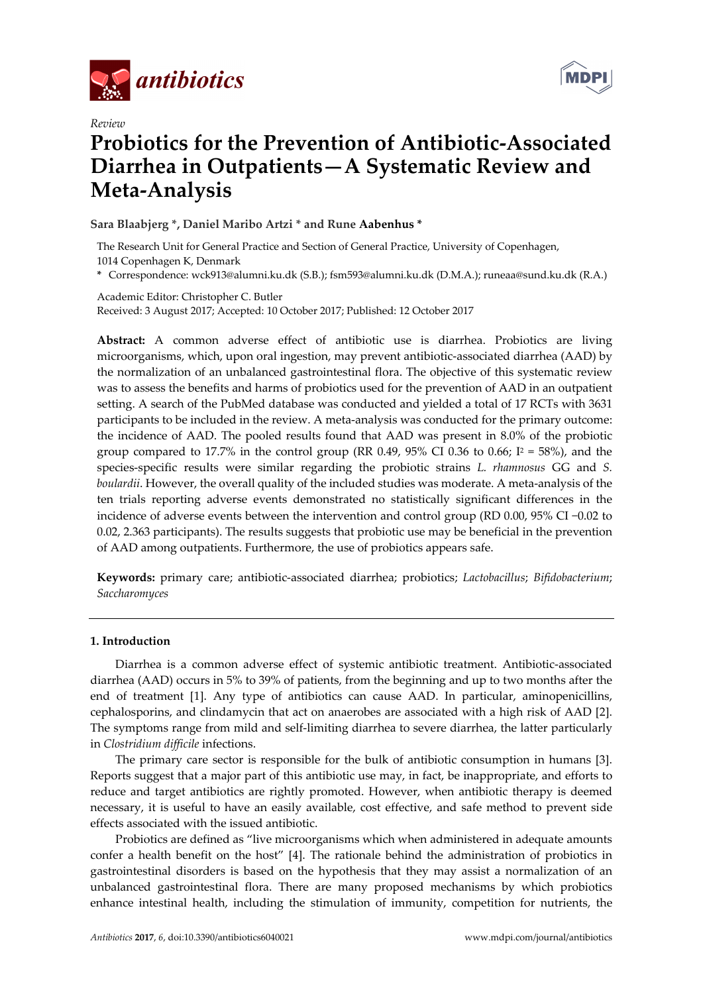



# *Review*  **Probiotics for the Prevention of Antibiotic-Associated Diarrhea in Outpatients—A Systematic Review and Meta-Analysis**

**Sara Blaabjerg \*, Daniel Maribo Artzi \* and Rune Aabenhus \*** 

The Research Unit for General Practice and Section of General Practice, University of Copenhagen, 1014 Copenhagen K, Denmark

**\*** Correspondence: wck913@alumni.ku.dk (S.B.); fsm593@alumni.ku.dk (D.M.A.); runeaa@sund.ku.dk (R.A.)

Academic Editor: Christopher C. Butler Received: 3 August 2017; Accepted: 10 October 2017; Published: 12 October 2017

**Abstract:** A common adverse effect of antibiotic use is diarrhea. Probiotics are living microorganisms, which, upon oral ingestion, may prevent antibiotic-associated diarrhea (AAD) by the normalization of an unbalanced gastrointestinal flora. The objective of this systematic review was to assess the benefits and harms of probiotics used for the prevention of AAD in an outpatient setting. A search of the PubMed database was conducted and yielded a total of 17 RCTs with 3631 participants to be included in the review. A meta-analysis was conducted for the primary outcome: the incidence of AAD. The pooled results found that AAD was present in 8.0% of the probiotic group compared to 17.7% in the control group (RR 0.49, 95% CI 0.36 to 0.66;  $I^2 = 58$ %), and the species-specific results were similar regarding the probiotic strains *L. rhamnosus* GG and *S. boulardii*. However, the overall quality of the included studies was moderate. A meta-analysis of the ten trials reporting adverse events demonstrated no statistically significant differences in the incidence of adverse events between the intervention and control group (RD 0.00, 95% CI −0.02 to 0.02, 2.363 participants). The results suggests that probiotic use may be beneficial in the prevention of AAD among outpatients. Furthermore, the use of probiotics appears safe.

**Keywords:** primary care; antibiotic-associated diarrhea; probiotics; *Lactobacillus*; *Bifidobacterium*; *Saccharomyces*

# **1. Introduction**

Diarrhea is a common adverse effect of systemic antibiotic treatment. Antibiotic-associated diarrhea (AAD) occurs in 5% to 39% of patients, from the beginning and up to two months after the end of treatment [1]. Any type of antibiotics can cause AAD. In particular, aminopenicillins, cephalosporins, and clindamycin that act on anaerobes are associated with a high risk of AAD [2]. The symptoms range from mild and self-limiting diarrhea to severe diarrhea, the latter particularly in *Clostridium difficile* infections.

The primary care sector is responsible for the bulk of antibiotic consumption in humans [3]. Reports suggest that a major part of this antibiotic use may, in fact, be inappropriate, and efforts to reduce and target antibiotics are rightly promoted. However, when antibiotic therapy is deemed necessary, it is useful to have an easily available, cost effective, and safe method to prevent side effects associated with the issued antibiotic.

Probiotics are defined as "live microorganisms which when administered in adequate amounts confer a health benefit on the host" [4]. The rationale behind the administration of probiotics in gastrointestinal disorders is based on the hypothesis that they may assist a normalization of an unbalanced gastrointestinal flora. There are many proposed mechanisms by which probiotics enhance intestinal health, including the stimulation of immunity, competition for nutrients, the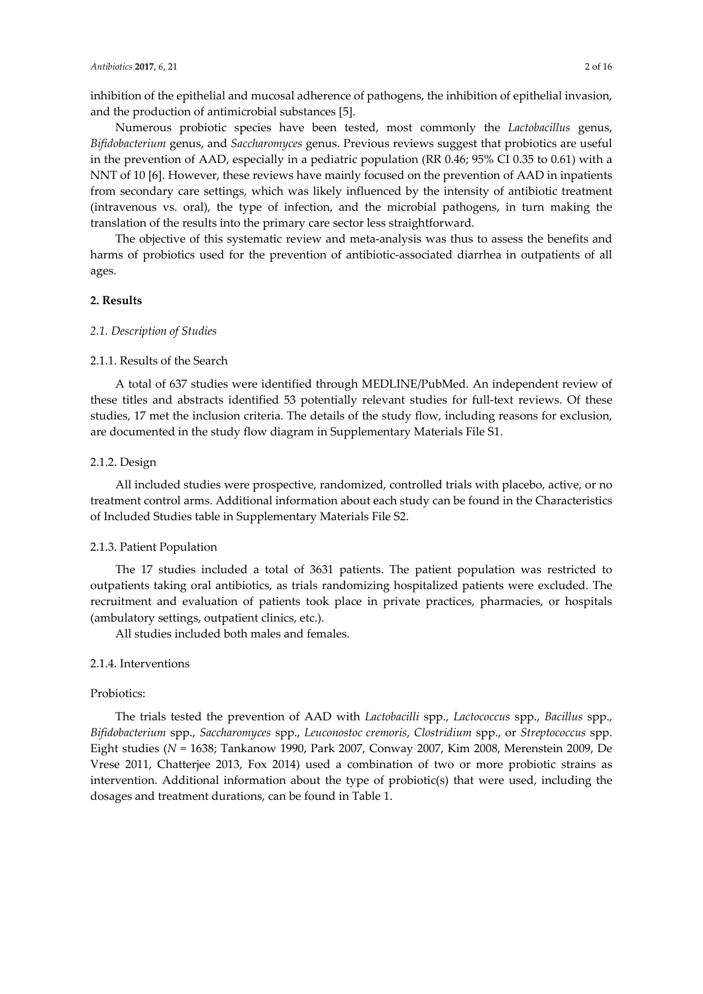inhibition of the epithelial and mucosal adherence of pathogens, the inhibition of epithelial invasion, and the production of antimicrobial substances [5].

Numerous probiotic species have been tested, most commonly the *Lactobacillus* genus, *Bifidobacterium* genus, and *Saccharomyces* genus. Previous reviews suggest that probiotics are useful in the prevention of AAD, especially in a pediatric population (RR 0.46; 95% CI 0.35 to 0.61) with a NNT of 10 [6]. However, these reviews have mainly focused on the prevention of AAD in inpatients from secondary care settings, which was likely influenced by the intensity of antibiotic treatment (intravenous vs. oral), the type of infection, and the microbial pathogens, in turn making the translation of the results into the primary care sector less straightforward.

The objective of this systematic review and meta-analysis was thus to assess the benefits and harms of probiotics used for the prevention of antibiotic-associated diarrhea in outpatients of all ages.

# **2. Results**

## *2.1. Description of Studies*

# 2.1.1. Results of the Search

A total of 637 studies were identified through MEDLINE/PubMed. An independent review of these titles and abstracts identified 53 potentially relevant studies for full-text reviews. Of these studies, 17 met the inclusion criteria. The details of the study flow, including reasons for exclusion, are documented in the study flow diagram in Supplementary Materials File S1.

## 2.1.2. Design

All included studies were prospective, randomized, controlled trials with placebo, active, or no treatment control arms. Additional information about each study can be found in the Characteristics of Included Studies table in Supplementary Materials File S2.

## 2.1.3. Patient Population

The 17 studies included a total of 3631 patients. The patient population was restricted to outpatients taking oral antibiotics, as trials randomizing hospitalized patients were excluded. The recruitment and evaluation of patients took place in private practices, pharmacies, or hospitals (ambulatory settings, outpatient clinics, etc.).

All studies included both males and females.

# 2.1.4. Interventions

# Probiotics:

The trials tested the prevention of AAD with *Lactobacilli* spp., *Lactococcus* spp., *Bacillus* spp., *Bifidobacterium* spp., *Saccharomyces* spp., *Leuconostoc cremoris*, *Clostridium* spp., or *Streptococcus* spp. Eight studies (*N* = 1638; Tankanow 1990, Park 2007, Conway 2007, Kim 2008, Merenstein 2009, De Vrese 2011, Chatterjee 2013, Fox 2014) used a combination of two or more probiotic strains as intervention. Additional information about the type of probiotic(s) that were used, including the dosages and treatment durations, can be found in Table 1.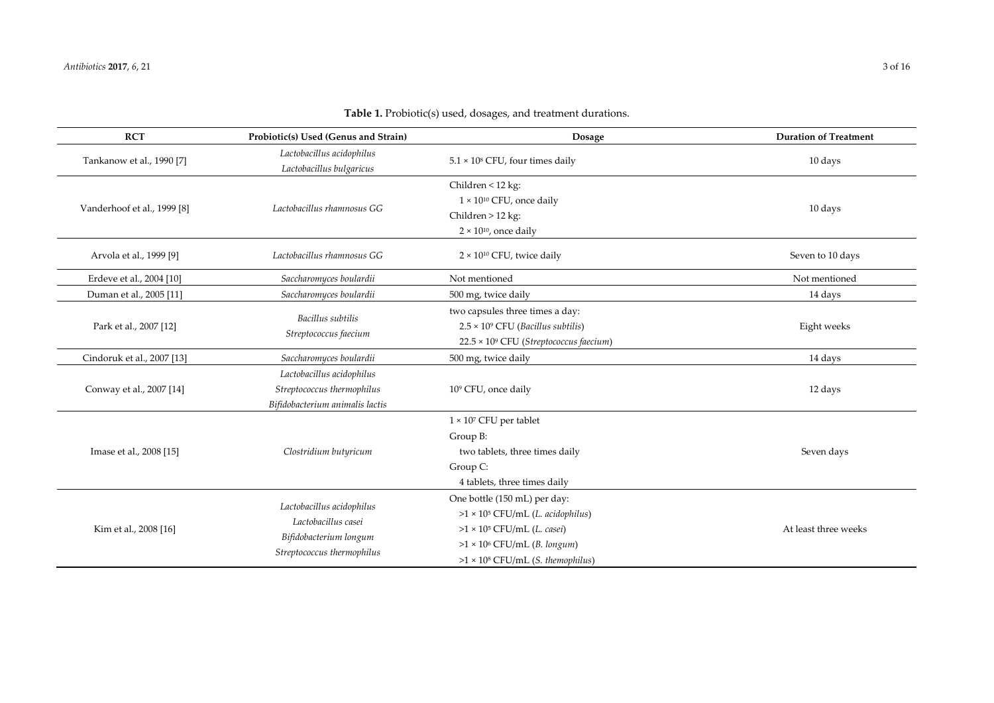| <b>RCT</b>                  | Probiotic(s) Used (Genus and Strain)                                                                     | Dosage                                                                                                                                                                                                | <b>Duration of Treatment</b> |
|-----------------------------|----------------------------------------------------------------------------------------------------------|-------------------------------------------------------------------------------------------------------------------------------------------------------------------------------------------------------|------------------------------|
| Tankanow et al., 1990 [7]   | Lactobacillus acidophilus<br>Lactobacillus bulgaricus                                                    | $5.1 \times 10^8$ CFU, four times daily                                                                                                                                                               | 10 days                      |
| Vanderhoof et al., 1999 [8] | Lactobacillus rhamnosus GG                                                                               | Children < 12 kg:<br>$1 \times 10^{10}$ CFU, once daily<br>Children > 12 kg:<br>$2 \times 10^{10}$ , once daily                                                                                       | 10 days                      |
| Arvola et al., 1999 [9]     | Lactobacillus rhamnosus GG                                                                               | $2 \times 10^{10}$ CFU, twice daily                                                                                                                                                                   | Seven to 10 days             |
| Erdeve et al., 2004 [10]    | Saccharomyces boulardii                                                                                  | Not mentioned                                                                                                                                                                                         | Not mentioned                |
| Duman et al., 2005 [11]     | Saccharomyces boulardii                                                                                  | 500 mg, twice daily                                                                                                                                                                                   | 14 days                      |
| Park et al., 2007 [12]      | Bacillus subtilis<br>Streptococcus faecium                                                               | two capsules three times a day:<br>$2.5 \times 10^9$ CFU (Bacillus subtilis)<br>22.5 × 109 CFU (Streptococcus faecium)                                                                                | Eight weeks                  |
| Cindoruk et al., 2007 [13]  | Saccharomyces boulardii                                                                                  | 500 mg, twice daily                                                                                                                                                                                   | 14 days                      |
| Conway et al., 2007 [14]    | Lactobacillus acidophilus<br>Streptococcus thermophilus<br>Bifidobacterium animalis lactis               | 109 CFU, once daily                                                                                                                                                                                   | 12 days                      |
| Imase et al., 2008 [15]     | Clostridium butyricum                                                                                    | $1 \times 10^7$ CFU per tablet<br>Group B:<br>two tablets, three times daily<br>Group C:<br>4 tablets, three times daily                                                                              | Seven days                   |
| Kim et al., 2008 [16]       | Lactobacillus acidophilus<br>Lactobacillus casei<br>Bifidobacterium longum<br>Streptococcus thermophilus | One bottle (150 mL) per day:<br>>1 × 10 <sup>5</sup> CFU/mL (L. acidophilus)<br>$>1 \times 10^5$ CFU/mL (L. casei)<br>$>1 \times 10^6$ CFU/mL (B. longum)<br>$>1 \times 10^8$ CFU/mL (S. themophilus) | At least three weeks         |

**Table 1.** Probiotic(s) used, dosages, and treatment durations.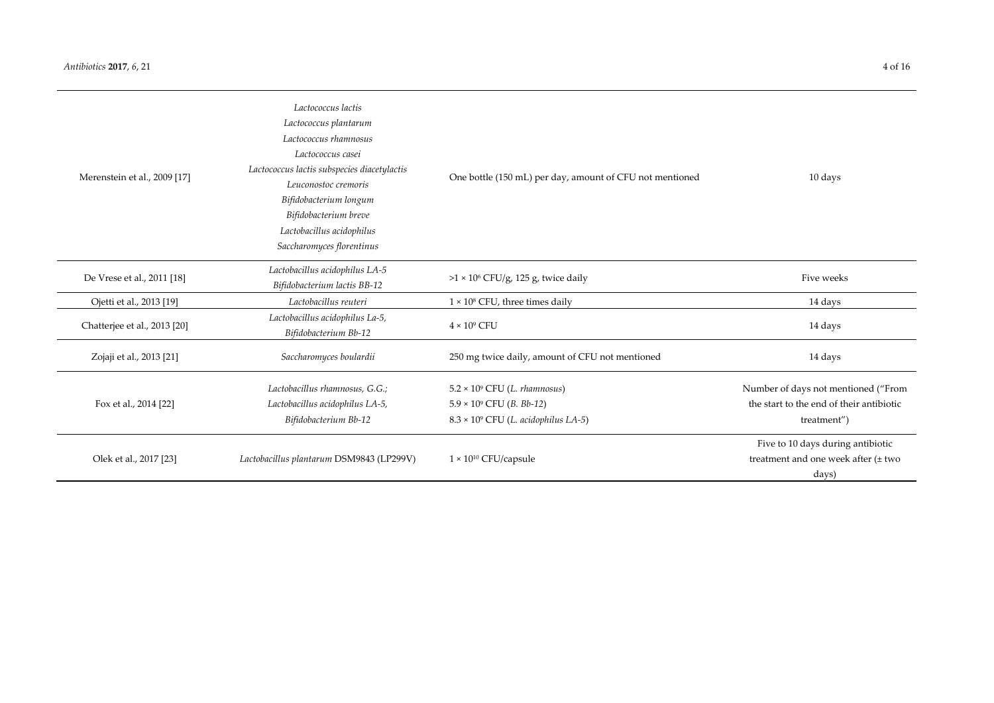| Merenstein et al., 2009 [17] | Lactococcus lactis<br>Lactococcus plantarum<br>Lactococcus rhamnosus<br>Lactococcus casei<br>Lactococcus lactis subspecies diacetylactis<br>Leuconostoc cremoris<br>Bifidobacterium longum<br>Bifidobacterium breve<br>Lactobacillus acidophilus<br>Saccharomyces florentinus | One bottle (150 mL) per day, amount of CFU not mentioned                                                                         | 10 days                                                                                        |  |  |
|------------------------------|-------------------------------------------------------------------------------------------------------------------------------------------------------------------------------------------------------------------------------------------------------------------------------|----------------------------------------------------------------------------------------------------------------------------------|------------------------------------------------------------------------------------------------|--|--|
| De Vrese et al., 2011 [18]   | Lactobacillus acidophilus LA-5<br>Bifidobacterium lactis BB-12                                                                                                                                                                                                                | $>1 \times 10^6$ CFU/g, 125 g, twice daily                                                                                       | Five weeks                                                                                     |  |  |
| Ojetti et al., 2013 [19]     | Lactobacillus reuteri                                                                                                                                                                                                                                                         | $1 \times 10^8$ CFU, three times daily                                                                                           | 14 days                                                                                        |  |  |
| Chatterjee et al., 2013 [20] | Lactobacillus acidophilus La-5,<br>Bifidobacterium Bb-12                                                                                                                                                                                                                      | $4 \times 10^9$ CFU                                                                                                              | 14 days                                                                                        |  |  |
| Zojaji et al., 2013 [21]     | Saccharomyces boulardii                                                                                                                                                                                                                                                       | 250 mg twice daily, amount of CFU not mentioned                                                                                  | 14 days                                                                                        |  |  |
| Fox et al., 2014 [22]        | Lactobacillus rhamnosus, G.G.;<br>Lactobacillus acidophilus LA-5,<br>Bifidobacterium Bb-12                                                                                                                                                                                    | $5.2 \times 10^9$ CFU (L. rhamnosus)<br>$5.9 \times 10^9$ CFU ( <i>B. Bb-12</i> )<br>$8.3 \times 10^9$ CFU (L. acidophilus LA-5) | Number of days not mentioned ("From<br>the start to the end of their antibiotic<br>treatment") |  |  |
| Olek et al., 2017 [23]       | Lactobacillus plantarum DSM9843 (LP299V)                                                                                                                                                                                                                                      | $1 \times 10^{10}$ CFU/capsule                                                                                                   | Five to 10 days during antibiotic<br>treatment and one week after (± two<br>days)              |  |  |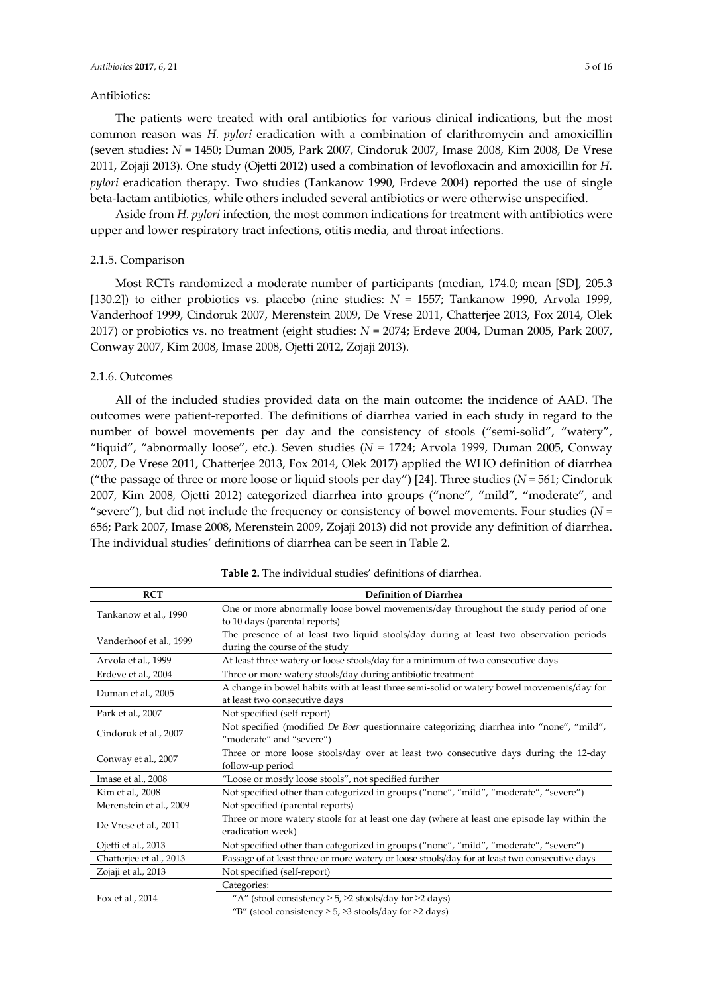# Antibiotics:

The patients were treated with oral antibiotics for various clinical indications, but the most common reason was *H. pylori* eradication with a combination of clarithromycin and amoxicillin (seven studies: *N* = 1450; Duman 2005, Park 2007, Cindoruk 2007, Imase 2008, Kim 2008, De Vrese 2011, Zojaji 2013). One study (Ojetti 2012) used a combination of levofloxacin and amoxicillin for *H. pylori* eradication therapy. Two studies (Tankanow 1990, Erdeve 2004) reported the use of single beta-lactam antibiotics, while others included several antibiotics or were otherwise unspecified.

Aside from *H. pylori* infection, the most common indications for treatment with antibiotics were upper and lower respiratory tract infections, otitis media, and throat infections.

## 2.1.5. Comparison

Most RCTs randomized a moderate number of participants (median, 174.0; mean [SD], 205.3 [130.2]) to either probiotics vs. placebo (nine studies: *N* = 1557; Tankanow 1990, Arvola 1999, Vanderhoof 1999, Cindoruk 2007, Merenstein 2009, De Vrese 2011, Chatterjee 2013, Fox 2014, Olek 2017) or probiotics vs. no treatment (eight studies: *N* = 2074; Erdeve 2004, Duman 2005, Park 2007, Conway 2007, Kim 2008, Imase 2008, Ojetti 2012, Zojaji 2013).

#### 2.1.6. Outcomes

All of the included studies provided data on the main outcome: the incidence of AAD. The outcomes were patient-reported. The definitions of diarrhea varied in each study in regard to the number of bowel movements per day and the consistency of stools ("semi-solid", "watery", "liquid", "abnormally loose", etc.). Seven studies (*N* = 1724; Arvola 1999, Duman 2005, Conway 2007, De Vrese 2011, Chatterjee 2013, Fox 2014, Olek 2017) applied the WHO definition of diarrhea ("the passage of three or more loose or liquid stools per day") [24]. Three studies (*N* = 561; Cindoruk 2007, Kim 2008, Ojetti 2012) categorized diarrhea into groups ("none", "mild", "moderate", and "severe"), but did not include the frequency or consistency of bowel movements. Four studies (*N* = 656; Park 2007, Imase 2008, Merenstein 2009, Zojaji 2013) did not provide any definition of diarrhea. The individual studies' definitions of diarrhea can be seen in Table 2.

| <b>RCT</b>              | <b>Definition of Diarrhea</b>                                                                   |  |  |  |  |  |  |
|-------------------------|-------------------------------------------------------------------------------------------------|--|--|--|--|--|--|
| Tankanow et al., 1990   | One or more abnormally loose bowel movements/day throughout the study period of one             |  |  |  |  |  |  |
|                         | to 10 days (parental reports)                                                                   |  |  |  |  |  |  |
|                         | The presence of at least two liquid stools/day during at least two observation periods          |  |  |  |  |  |  |
| Vanderhoof et al., 1999 | during the course of the study                                                                  |  |  |  |  |  |  |
| Arvola et al., 1999     | At least three watery or loose stools/day for a minimum of two consecutive days                 |  |  |  |  |  |  |
| Erdeve et al., 2004     | Three or more watery stools/day during antibiotic treatment                                     |  |  |  |  |  |  |
|                         | A change in bowel habits with at least three semi-solid or watery bowel movements/day for       |  |  |  |  |  |  |
| Duman et al., 2005      | at least two consecutive days                                                                   |  |  |  |  |  |  |
| Park et al., 2007       | Not specified (self-report)                                                                     |  |  |  |  |  |  |
|                         | Not specified (modified <i>De Boer</i> questionnaire categorizing diarrhea into "none", "mild", |  |  |  |  |  |  |
| Cindoruk et al., 2007   | "moderate" and "severe")                                                                        |  |  |  |  |  |  |
|                         | Three or more loose stools/day over at least two consecutive days during the 12-day             |  |  |  |  |  |  |
| Conway et al., 2007     | follow-up period                                                                                |  |  |  |  |  |  |
| Imase et al., 2008      | "Loose or mostly loose stools", not specified further                                           |  |  |  |  |  |  |
| Kim et al., 2008        | Not specified other than categorized in groups ("none", "mild", "moderate", "severe")           |  |  |  |  |  |  |
| Merenstein et al., 2009 | Not specified (parental reports)                                                                |  |  |  |  |  |  |
| De Vrese et al., 2011   | Three or more watery stools for at least one day (where at least one episode lay within the     |  |  |  |  |  |  |
|                         | eradication week)                                                                               |  |  |  |  |  |  |
| Ojetti et al., 2013     | Not specified other than categorized in groups ("none", "mild", "moderate", "severe")           |  |  |  |  |  |  |
| Chatterjee et al., 2013 | Passage of at least three or more watery or loose stools/day for at least two consecutive days  |  |  |  |  |  |  |
| Zojaji et al., 2013     | Not specified (self-report)                                                                     |  |  |  |  |  |  |
|                         | Categories:                                                                                     |  |  |  |  |  |  |
| Fox et al., 2014        | "A" (stool consistency $\geq 5$ , $\geq 2$ stools/day for $\geq 2$ days)                        |  |  |  |  |  |  |
|                         | "B" (stool consistency $\geq 5$ , $\geq 3$ stools/day for $\geq 2$ days)                        |  |  |  |  |  |  |

**Table 2.** The individual studies' definitions of diarrhea.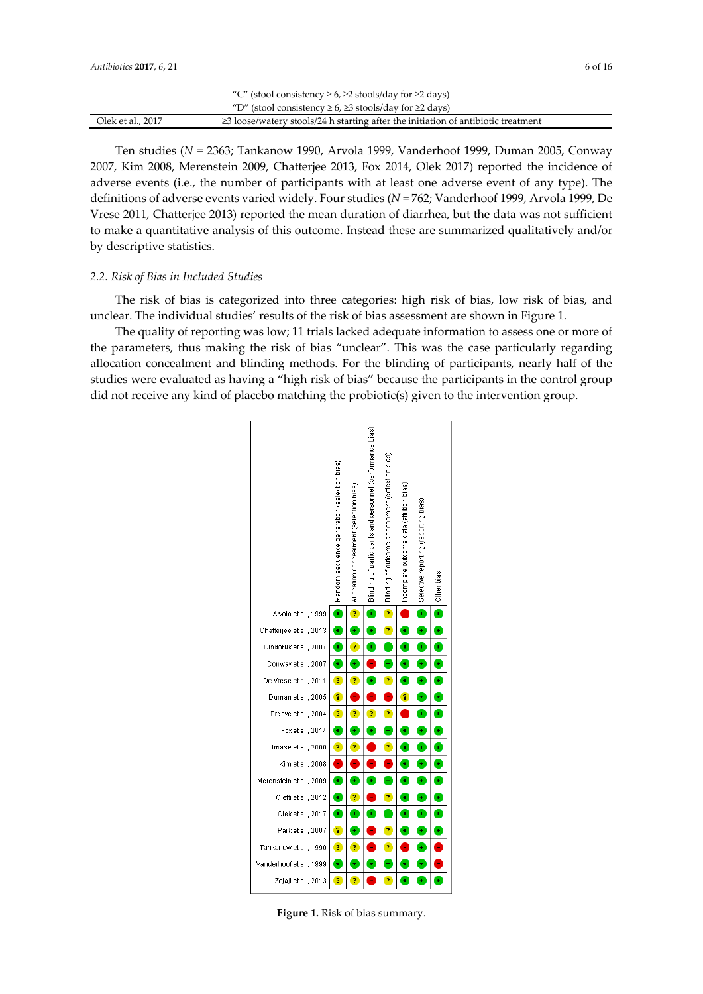|                   | "C" (stool consistency $\geq 6$ , $\geq 2$ stools/day for $\geq 2$ days)                |  |
|-------------------|-----------------------------------------------------------------------------------------|--|
|                   | "D" (stool consistency $\geq 6$ , $\geq 3$ stools/day for $\geq 2$ days)                |  |
| Olek et al., 2017 | $\geq$ 3 loose/watery stools/24 h starting after the initiation of antibiotic treatment |  |

Ten studies (*N* = 2363; Tankanow 1990, Arvola 1999, Vanderhoof 1999, Duman 2005, Conway 2007, Kim 2008, Merenstein 2009, Chatterjee 2013, Fox 2014, Olek 2017) reported the incidence of adverse events (i.e., the number of participants with at least one adverse event of any type). The definitions of adverse events varied widely. Four studies (*N* = 762; Vanderhoof 1999, Arvola 1999, De Vrese 2011, Chatterjee 2013) reported the mean duration of diarrhea, but the data was not sufficient to make a quantitative analysis of this outcome. Instead these are summarized qualitatively and/or by descriptive statistics.

# *2.2. Risk of Bias in Included Studies*

The risk of bias is categorized into three categories: high risk of bias, low risk of bias, and unclear. The individual studies' results of the risk of bias assessment are shown in Figure 1.

The quality of reporting was low; 11 trials lacked adequate information to assess one or more of the parameters, thus making the risk of bias "unclear". This was the case particularly regarding allocation concealment and blinding methods. For the blinding of participants, nearly half of the studies were evaluated as having a "high risk of bias" because the participants in the control group did not receive any kind of placebo matching the probiotic(s) given to the intervention group.



**Figure 1.** Risk of bias summary.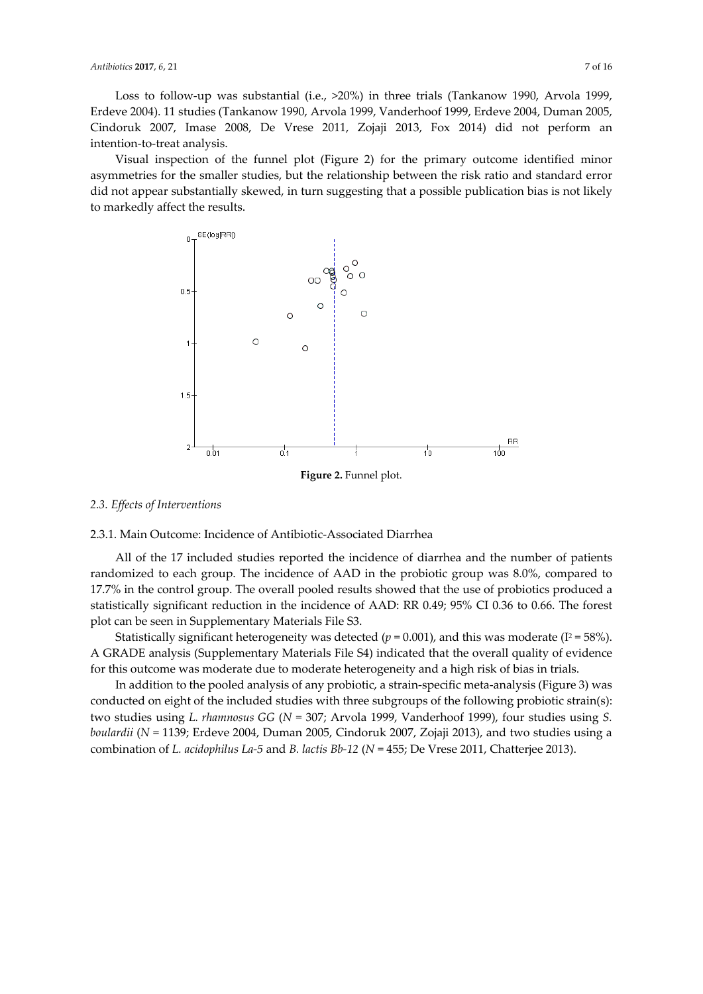Loss to follow-up was substantial (i.e., >20%) in three trials (Tankanow 1990, Arvola 1999, Erdeve 2004). 11 studies (Tankanow 1990, Arvola 1999, Vanderhoof 1999, Erdeve 2004, Duman 2005, Cindoruk 2007, Imase 2008, De Vrese 2011, Zojaji 2013, Fox 2014) did not perform an intention-to-treat analysis.

Visual inspection of the funnel plot (Figure 2) for the primary outcome identified minor asymmetries for the smaller studies, but the relationship between the risk ratio and standard error did not appear substantially skewed, in turn suggesting that a possible publication bias is not likely to markedly affect the results.



*2.3. Effects of Interventions* 

# 2.3.1. Main Outcome: Incidence of Antibiotic-Associated Diarrhea

All of the 17 included studies reported the incidence of diarrhea and the number of patients randomized to each group. The incidence of AAD in the probiotic group was 8.0%, compared to 17.7% in the control group. The overall pooled results showed that the use of probiotics produced a statistically significant reduction in the incidence of AAD: RR 0.49; 95% CI 0.36 to 0.66. The forest plot can be seen in Supplementary Materials File S3.

Statistically significant heterogeneity was detected ( $p = 0.001$ ), and this was moderate ( $I^2 = 58\%$ ). A GRADE analysis (Supplementary Materials File S4) indicated that the overall quality of evidence for this outcome was moderate due to moderate heterogeneity and a high risk of bias in trials.

In addition to the pooled analysis of any probiotic, a strain-specific meta-analysis (Figure 3) was conducted on eight of the included studies with three subgroups of the following probiotic strain(s): two studies using *L. rhamnosus GG* (*N* = 307; Arvola 1999, Vanderhoof 1999), four studies using *S. boulardii* (*N* = 1139; Erdeve 2004, Duman 2005, Cindoruk 2007, Zojaji 2013), and two studies using a combination of *L. acidophilus La-5* and *B. lactis Bb-12* (*N* = 455; De Vrese 2011, Chatterjee 2013).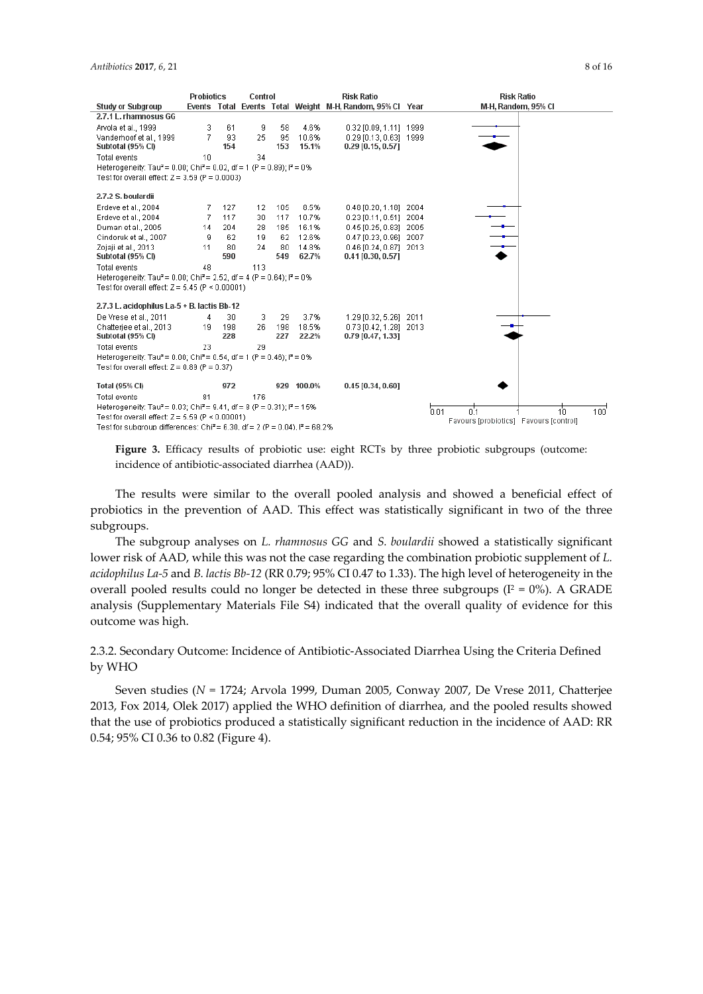|                                                                                                | <b>Probiotics</b> |     | Control |     | <b>Risk Ratio</b> |                                                           |                                        | <b>Risk Ratio</b>             |
|------------------------------------------------------------------------------------------------|-------------------|-----|---------|-----|-------------------|-----------------------------------------------------------|----------------------------------------|-------------------------------|
| <b>Study or Subgroup</b>                                                                       |                   |     |         |     |                   | Events Total Events Total Weight M-H, Random, 95% Cl Year |                                        | M-H, Random, 95% CI           |
| 2.7.1 L. rhamnosus GG                                                                          |                   |     |         |     |                   |                                                           |                                        |                               |
| Arvola et al., 1999                                                                            | 3                 | 61  | 9       | 58  | 4.6%              | 0.32 [0.09, 1.11] 1999                                    |                                        |                               |
| Vanderhoof et al., 1999                                                                        | 7                 | 93  | 25      | 95  | 10.6%             | 0.29 [0.13, 0.63] 1999                                    |                                        |                               |
| Subtotal (95% CI)                                                                              |                   | 154 |         | 153 | 15.1%             | $0.29$ [0.15, 0.57]                                       |                                        |                               |
| <b>Total events</b>                                                                            | 10                |     | 34      |     |                   |                                                           |                                        |                               |
| Heterogeneity: Tau <sup>2</sup> = 0.00; Chi <sup>2</sup> = 0.02, df = 1 (P = 0.89); $P = 0\%$  |                   |     |         |     |                   |                                                           |                                        |                               |
| Test for overall effect: $Z = 3.59$ (P = 0.0003)                                               |                   |     |         |     |                   |                                                           |                                        |                               |
| 2.7.2 S. boulardii                                                                             |                   |     |         |     |                   |                                                           |                                        |                               |
| Erdeve et al., 2004                                                                            | 7                 | 127 | 12      | 105 | 8.5%              | $0.48$ [0.20, 1.18]                                       | 2004                                   |                               |
| Erdeve et al., 2004                                                                            | 7                 | 117 | 30      | 117 | 10.7%             | $0.23$ [0.11, 0.51]                                       | 2004                                   |                               |
| Duman et al., 2005                                                                             | 14                | 204 | 28      | 185 | 16.1%             | 0.45 [0.25, 0.83] 2005                                    |                                        |                               |
| Cindoruk et al., 2007                                                                          | я                 | 62  | 19      | 62  | 12.6%             | $0.47$ [0.23, 0.96]                                       | 2007                                   | $\rightarrow$                 |
| Zojaji et al., 2013                                                                            | 11                | 80  | 24      | 80  | 14.8%             | 0.46 [0.24, 0.87] 2013                                    |                                        |                               |
| Subtotal (95% CI)                                                                              |                   | 590 |         | 549 | 62.7%             | $0.41$ [0.30, 0.57]                                       |                                        |                               |
| Total events                                                                                   | 48                |     | 113     |     |                   |                                                           |                                        |                               |
| Heterogeneity: Tau <sup>2</sup> = 0.00; Chi <sup>2</sup> = 2.52, df = 4 (P = 0.64); $P = 0\%$  |                   |     |         |     |                   |                                                           |                                        |                               |
| Test for overall effect: $Z = 5.45$ (P < 0.00001)                                              |                   |     |         |     |                   |                                                           |                                        |                               |
| 2.7.3 L. acidophilus La-5 + B. lactis Bb-12                                                    |                   |     |         |     |                   |                                                           |                                        |                               |
| De Vrese et al., 2011                                                                          | 4                 | 30  | 3       | 29  | 3.7%              | 1.29 [0.32, 5.26] 2011                                    |                                        |                               |
| Chatteriee et al., 2013                                                                        | 19                | 198 | 26      | 198 | 18.5%             | 0.73 [0.42, 1.28] 2013                                    |                                        |                               |
| Subtotal (95% CI)                                                                              |                   | 228 |         | 227 | 22.2%             | 0.79 [0.47, 1.33]                                         |                                        |                               |
| <b>Total events</b>                                                                            | 23                |     | 29      |     |                   |                                                           |                                        |                               |
| Heterogeneity: Tau <sup>2</sup> = 0.00; Chi <sup>2</sup> = 0.54, df = 1 (P = 0.46); $P = 0%$   |                   |     |         |     |                   |                                                           |                                        |                               |
| Test for overall effect: $Z = 0.89$ (P = 0.37)                                                 |                   |     |         |     |                   |                                                           |                                        |                               |
| <b>Total (95% CI)</b>                                                                          |                   | 972 |         |     | 929 100.0%        | $0.45$ [0.34, 0.60]                                       |                                        |                               |
| <b>Total events</b>                                                                            | 81                |     | 176     |     |                   |                                                           |                                        |                               |
| Heterogeneity: Tau <sup>2</sup> = 0.03; Chi <sup>2</sup> = 9.41, df = 8 (P = 0.31); $P = 15\%$ |                   |     |         |     |                   |                                                           | .<br>0.01                              | 0'1<br>1'n<br>$100^{\degree}$ |
| Test for overall effect: $Z = 5.59$ (P < 0.00001)                                              |                   |     |         |     |                   |                                                           | Favours [probiotics] Favours [control] |                               |
| Test for subgroup differences: Chi <sup>2</sup> = 6.30, df = 2 (P = 0.04), $P = 68.2\%$        |                   |     |         |     |                   |                                                           |                                        |                               |

Figure 3. Efficacy results of probiotic use: eight RCTs by three probiotic subgroups (outcome: incidence of antibiotic-associated diarrhea (AAD)).

The results were similar to the overall pooled analysis and showed a beneficial effect of probiotics in the prevention of AAD. This effect was statistically significant in two of the three subgroups.

The subgroup analyses on *L. rhamnosus GG* and *S. boulardii* showed a statistically significant lower risk of AAD, while this was not the case regarding the combination probiotic supplement of *L. acidophilus La-5* and *B. lactis Bb-12* (RR 0.79; 95% CI 0.47 to 1.33). The high level of heterogeneity in the overall pooled results could no longer be detected in these three subgroups ( $I^2 = 0\%$ ). A GRADE analysis (Supplementary Materials File S4) indicated that the overall quality of evidence for this outcome was high.

# 2.3.2. Secondary Outcome: Incidence of Antibiotic-Associated Diarrhea Using the Criteria Defined by WHO

Seven studies (*N* = 1724; Arvola 1999, Duman 2005, Conway 2007, De Vrese 2011, Chatterjee 2013, Fox 2014, Olek 2017) applied the WHO definition of diarrhea, and the pooled results showed that the use of probiotics produced a statistically significant reduction in the incidence of AAD: RR 0.54; 95% CI 0.36 to 0.82 (Figure 4).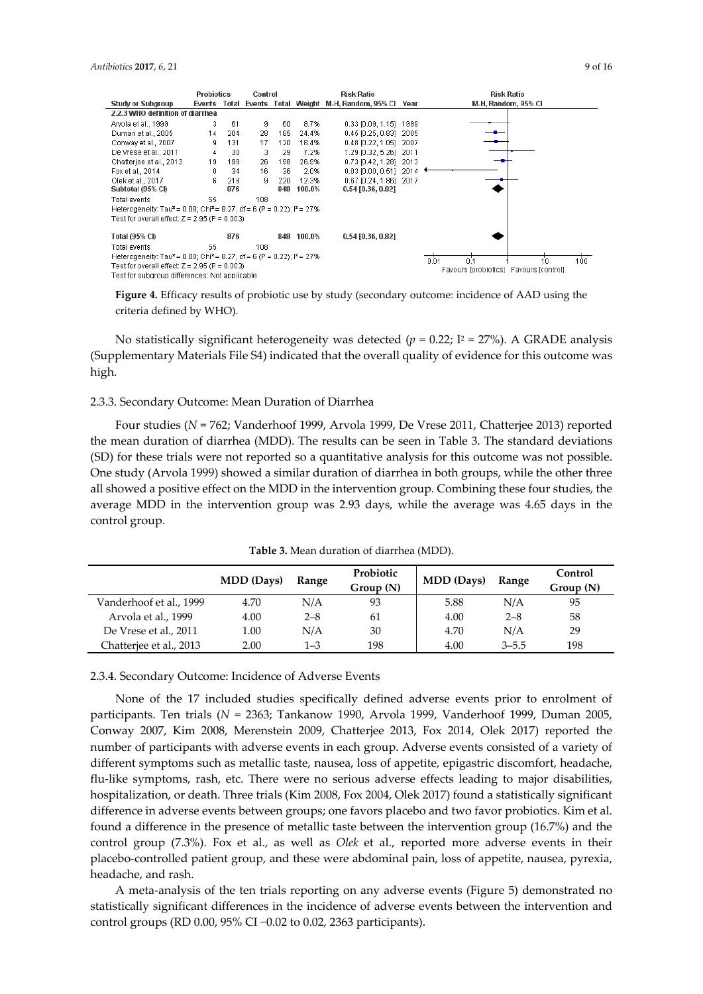|                                                                                                          | <b>Probiotics</b> |     | Control |     |            | <b>Risk Ratio</b>                                  |                                        | <b>Risk Ratio</b>   |
|----------------------------------------------------------------------------------------------------------|-------------------|-----|---------|-----|------------|----------------------------------------------------|----------------------------------------|---------------------|
| <b>Study or Subgroup</b>                                                                                 | Events            |     |         |     |            | Total Events Total Weight M-H, Random, 95% Cl Year |                                        | M-H, Random, 95% CI |
| 2.2.3 WHO definition of diarrhea                                                                         |                   |     |         |     |            |                                                    |                                        |                     |
| Arvola et al., 1999                                                                                      | 3                 | 61  | 9       | 60  | 8.7%       | $0.33$ [0.09, 1.15]                                | 1999                                   |                     |
| Duman et al., 2005                                                                                       | 14                | 204 | 28      | 185 | 24.4%      | $0.45$ [0.25, 0.83]                                | 2005                                   |                     |
| Conway et al., 2007                                                                                      | 9                 | 131 | 17      | 120 | 18.4%      | $0.48$ [0.22, 1.05]                                | 2007                                   |                     |
| De Vrese et al., 2011                                                                                    | 4                 | 30  | 3       | 29  | 7.2%       | 1.29 [0.32, 5.26]                                  | 2011                                   |                     |
| Chatterjee et al., 2013                                                                                  | 19                | 198 | 26      | 198 | 26.9%      | 0.73 [0.42, 1.28]                                  | 2013                                   |                     |
| Fox et al., 2014                                                                                         | 0                 | 34  | 16      | 36  | 2.0%       | $0.03$ [0.00, 0.51]                                | 2014                                   |                     |
| Olek et al., 2017                                                                                        | 6.                | 218 | 9       | 220 | 12.3%      | 0.67 [0.24, 1.86]                                  | 2017                                   |                     |
| Subtotal (95% CI)                                                                                        |                   | 876 |         | 848 | 100.0%     | 0.54 [0.36, 0.82]                                  |                                        |                     |
| Total events                                                                                             | 55                |     | 108     |     |            |                                                    |                                        |                     |
| Heterogeneity: Tau <sup>2</sup> = 0.08; Chi <sup>2</sup> = 8.27, df = 6 (P = 0.22); $P = 27\%$           |                   |     |         |     |            |                                                    |                                        |                     |
| Test for overall effect: $Z = 2.95$ (P = 0.003)                                                          |                   |     |         |     |            |                                                    |                                        |                     |
| Total (95% CI)                                                                                           |                   | 876 |         |     | 848 100.0% | 0.54 [0.36, 0.82]                                  |                                        |                     |
| Total events                                                                                             | 55                |     | 108     |     |            |                                                    |                                        |                     |
| Heterogeneity: Tau <sup>2</sup> = 0.08; Chi <sup>2</sup> = 8.27, df = 6 (P = 0.22); l <sup>2</sup> = 27% |                   |     |         |     |            |                                                    |                                        |                     |
| Test for overall effect: $Z = 2.95$ (P = 0.003)                                                          |                   |     |         |     |            |                                                    | 100<br>0.01<br>in.                     |                     |
| Test for subgroup differences: Not applicable                                                            |                   |     |         |     |            |                                                    | Favours [probiotics] Favours [control] |                     |

**Figure 4.** Efficacy results of probiotic use by study (secondary outcome: incidence of AAD using the criteria defined by WHO).

No statistically significant heterogeneity was detected ( $p = 0.22$ ;  $I^2 = 27\%$ ). A GRADE analysis (Supplementary Materials File S4) indicated that the overall quality of evidence for this outcome was high.

#### 2.3.3. Secondary Outcome: Mean Duration of Diarrhea

Four studies (*N* = 762; Vanderhoof 1999, Arvola 1999, De Vrese 2011, Chatterjee 2013) reported the mean duration of diarrhea (MDD). The results can be seen in Table 3. The standard deviations (SD) for these trials were not reported so a quantitative analysis for this outcome was not possible. One study (Arvola 1999) showed a similar duration of diarrhea in both groups, while the other three all showed a positive effect on the MDD in the intervention group. Combining these four studies, the average MDD in the intervention group was 2.93 days, while the average was 4.65 days in the control group.

|                         | <b>MDD</b> (Days) | Range   | Probiotic<br>Group (N) | <b>MDD</b> (Days) | Range     | Control<br>Group(N) |
|-------------------------|-------------------|---------|------------------------|-------------------|-----------|---------------------|
| Vanderhoof et al., 1999 | 4.70              | N/A     | 93                     | 5.88              | N/A       | 95                  |
| Arvola et al., 1999     | 4.00              | $2 - 8$ | 61                     | 4.00              | $2 - 8$   | 58                  |
| De Vrese et al., 2011   | 1.00              | N/A     | 30                     | 4.70              | N/A       | 29                  |
| Chatterjee et al., 2013 | 2.00              | $1 - 3$ | 198                    | 4.00              | $3 - 5.5$ | 198                 |

**Table 3.** Mean duration of diarrhea (MDD).

2.3.4. Secondary Outcome: Incidence of Adverse Events

None of the 17 included studies specifically defined adverse events prior to enrolment of participants. Ten trials (*N* = 2363; Tankanow 1990, Arvola 1999, Vanderhoof 1999, Duman 2005, Conway 2007, Kim 2008, Merenstein 2009, Chatterjee 2013, Fox 2014, Olek 2017) reported the number of participants with adverse events in each group. Adverse events consisted of a variety of different symptoms such as metallic taste, nausea, loss of appetite, epigastric discomfort, headache, flu-like symptoms, rash, etc. There were no serious adverse effects leading to major disabilities, hospitalization, or death. Three trials (Kim 2008, Fox 2004, Olek 2017) found a statistically significant difference in adverse events between groups; one favors placebo and two favor probiotics. Kim et al. found a difference in the presence of metallic taste between the intervention group (16.7%) and the control group (7.3%). Fox et al., as well as *Olek* et al., reported more adverse events in their placebo-controlled patient group, and these were abdominal pain, loss of appetite, nausea, pyrexia, headache, and rash.

A meta-analysis of the ten trials reporting on any adverse events (Figure 5) demonstrated no statistically significant differences in the incidence of adverse events between the intervention and control groups (RD 0.00, 95% CI −0.02 to 0.02, 2363 participants).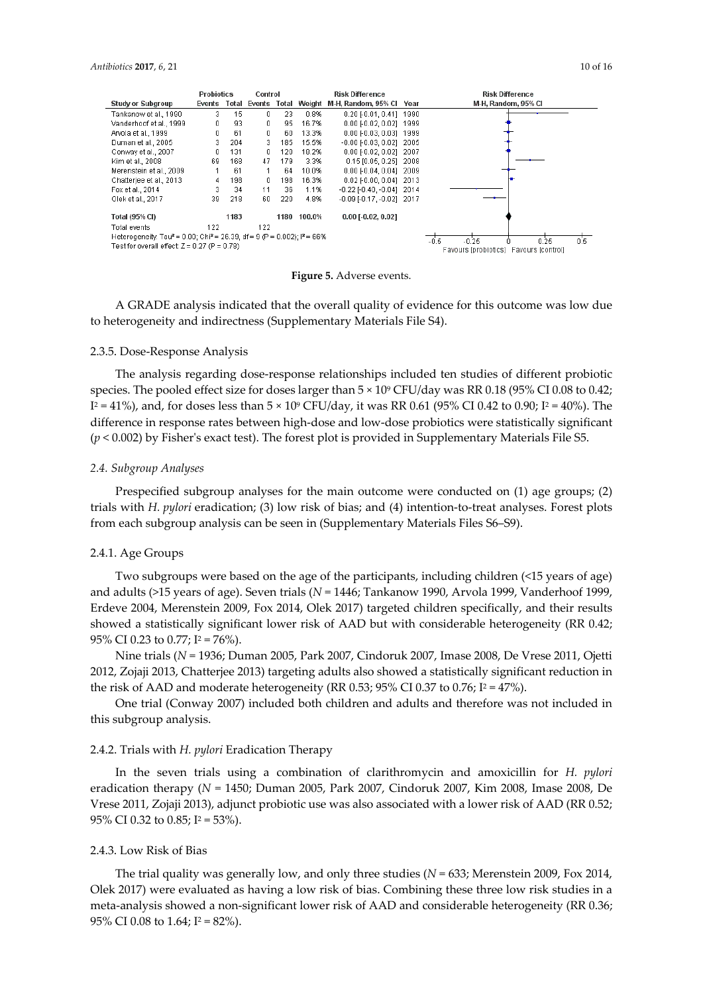|                                                                                                            | Probiotics |      | Control |      | <b>Risk Difference</b> |                                                           |                                                                     | <b>Risk Difference</b> |
|------------------------------------------------------------------------------------------------------------|------------|------|---------|------|------------------------|-----------------------------------------------------------|---------------------------------------------------------------------|------------------------|
| <b>Study or Subgroup</b>                                                                                   |            |      |         |      |                        | Events Total Events Total Weight M-H, Random, 95% Cl Year |                                                                     | M-H, Random, 95% CI    |
| Tankanow et al., 1990                                                                                      | 3          | 15   | 0       | 23   | 0.8%                   | 0.20 [-0.01, 0.41] 1990                                   |                                                                     |                        |
| Vanderhoof et al., 1999                                                                                    | 0          | 93   | 0       | 95   | 16.7%                  | 0.00 [-0.02, 0.02] 1999                                   |                                                                     |                        |
| Arvola et al., 1999                                                                                        | 0          | 61   | 0       | 60   | 13.3%                  | 0.00 [-0.03, 0.03] 1999                                   |                                                                     |                        |
| Duman et al., 2005                                                                                         | 3          | 204  | 3       | 185  | 15.5%                  | $-0.00$ $[-0.03, 0.02]$ 2005                              |                                                                     |                        |
| Conway et al., 2007                                                                                        | 0          | 131  | 0       | 120  | 18.2%                  | $0.00$ [-0.02, 0.02] 2007                                 |                                                                     |                        |
| Kim et al., 2008                                                                                           | 69         | 168  | 47      | 179  | 3.3%                   | 0.15 (0.05, 0.25) 2008                                    |                                                                     |                        |
| Merenstein et al., 2009                                                                                    |            | 61   | 1       | 64   | 10.0%                  | $0.00$ F0.04, 0.041 2009                                  |                                                                     |                        |
| Chatteriee et al., 2013                                                                                    | 4          | 198  | 0       | 198  | 16.3%                  | $0.02$ [-0.00, 0.04] 2013                                 |                                                                     |                        |
| Fox et al., 2014                                                                                           | 3          | 34   | 11      | 36   | 1.1%                   | $-0.22$ $[-0.40, -0.04]$ 2014                             |                                                                     |                        |
| Olek et al., 2017                                                                                          | 39         | 218  | 60      | 220  | 4.8%                   | $-0.09$ F0.17, $-0.021$ 2017                              |                                                                     |                        |
| <b>Total (95% CI)</b>                                                                                      |            | 1183 |         | 1180 | 100.0%                 | $0.00$ [ $-0.02$ , $0.02$ ]                               |                                                                     |                        |
| Total events                                                                                               | 122        |      | 122     |      |                        |                                                           |                                                                     |                        |
| Heterogeneity: Tau <sup>2</sup> = 0.00; Chi <sup>2</sup> = 26.39, df = 9 (P = 0.002); i <sup>2</sup> = 66% |            |      |         |      |                        |                                                           |                                                                     | 0.5                    |
| Test for overall effect: $Z = 0.27$ (P = 0.78)                                                             |            |      |         |      |                        |                                                           | $-0.5$<br>$-0.25$<br>0.25<br>Favours [probiotics] Favours [control] |                        |

**Figure 5.** Adverse events.

A GRADE analysis indicated that the overall quality of evidence for this outcome was low due to heterogeneity and indirectness (Supplementary Materials File S4).

## 2.3.5. Dose-Response Analysis

The analysis regarding dose-response relationships included ten studies of different probiotic species. The pooled effect size for doses larger than  $5 \times 10^9$  CFU/day was RR 0.18 (95% CI 0.08 to 0.42;  $I^2 = 41\%$ ), and, for doses less than  $5 \times 10^9$  CFU/day, it was RR 0.61 (95% CI 0.42 to 0.90;  $I^2 = 40\%$ ). The difference in response rates between high-dose and low-dose probiotics were statistically significant (*p* < 0.002) by Fisher's exact test). The forest plot is provided in Supplementary Materials File S5.

## *2.4. Subgroup Analyses*

Prespecified subgroup analyses for the main outcome were conducted on (1) age groups; (2) trials with *H. pylori* eradication; (3) low risk of bias; and (4) intention-to-treat analyses. Forest plots from each subgroup analysis can be seen in (Supplementary Materials Files S6–S9).

## 2.4.1. Age Groups

Two subgroups were based on the age of the participants, including children (<15 years of age) and adults (>15 years of age). Seven trials (*N* = 1446; Tankanow 1990, Arvola 1999, Vanderhoof 1999, Erdeve 2004, Merenstein 2009, Fox 2014, Olek 2017) targeted children specifically, and their results showed a statistically significant lower risk of AAD but with considerable heterogeneity (RR 0.42; 95% CI 0.23 to 0.77;  $I^2 = 76\%$ ).

Nine trials (*N* = 1936; Duman 2005, Park 2007, Cindoruk 2007, Imase 2008, De Vrese 2011, Ojetti 2012, Zojaji 2013, Chatterjee 2013) targeting adults also showed a statistically significant reduction in the risk of AAD and moderate heterogeneity (RR 0.53; 95% CI 0.37 to 0.76;  $I^2 = 47\%$ ).

One trial (Conway 2007) included both children and adults and therefore was not included in this subgroup analysis.

## 2.4.2. Trials with *H. pylori* Eradication Therapy

In the seven trials using a combination of clarithromycin and amoxicillin for *H. pylori* eradication therapy (*N* = 1450; Duman 2005, Park 2007, Cindoruk 2007, Kim 2008, Imase 2008, De Vrese 2011, Zojaji 2013), adjunct probiotic use was also associated with a lower risk of AAD (RR 0.52; 95% CI 0.32 to 0.85;  $I^2 = 53\%$ ).

#### 2.4.3. Low Risk of Bias

The trial quality was generally low, and only three studies (*N* = 633; Merenstein 2009, Fox 2014, Olek 2017) were evaluated as having a low risk of bias. Combining these three low risk studies in a meta-analysis showed a non-significant lower risk of AAD and considerable heterogeneity (RR 0.36; 95% CI 0.08 to 1.64;  $I^2 = 82\%$ ).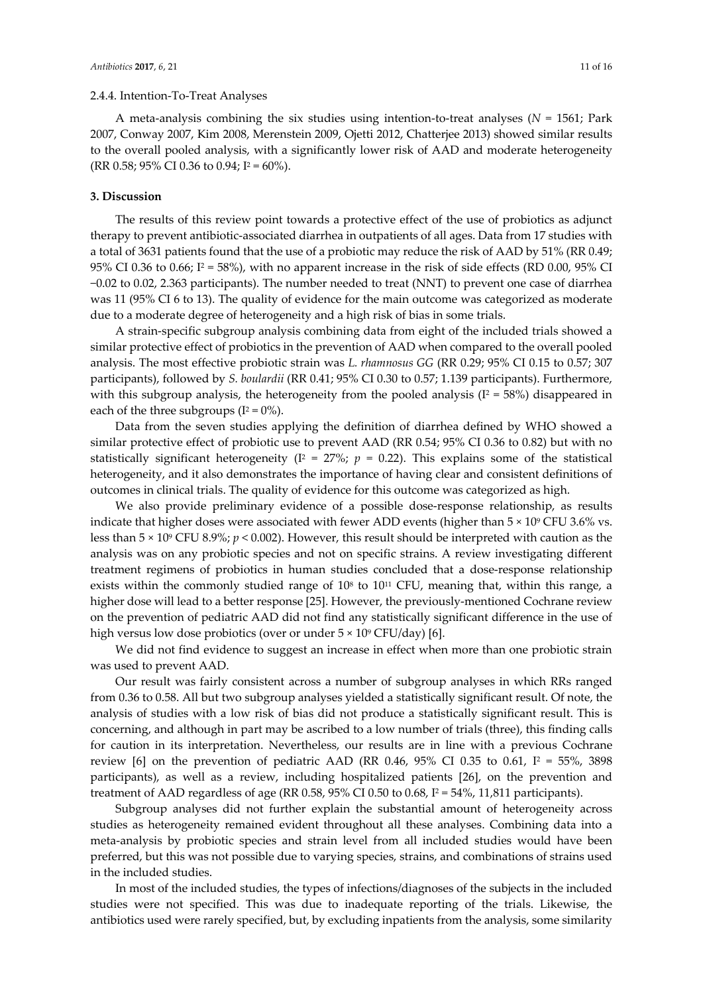# 2.4.4. Intention-To-Treat Analyses

A meta-analysis combining the six studies using intention-to-treat analyses (*N* = 1561; Park 2007, Conway 2007, Kim 2008, Merenstein 2009, Ojetti 2012, Chatterjee 2013) showed similar results to the overall pooled analysis, with a significantly lower risk of AAD and moderate heterogeneity (RR 0.58; 95% CI 0.36 to 0.94;  $I^2 = 60\%$ ).

# **3. Discussion**

The results of this review point towards a protective effect of the use of probiotics as adjunct therapy to prevent antibiotic-associated diarrhea in outpatients of all ages. Data from 17 studies with a total of 3631 patients found that the use of a probiotic may reduce the risk of AAD by 51% (RR 0.49; 95% CI 0.36 to 0.66;  $I^2 = 58\%$ ), with no apparent increase in the risk of side effects (RD 0.00, 95% CI −0.02 to 0.02, 2.363 participants). The number needed to treat (NNT) to prevent one case of diarrhea was 11 (95% CI 6 to 13). The quality of evidence for the main outcome was categorized as moderate due to a moderate degree of heterogeneity and a high risk of bias in some trials.

A strain-specific subgroup analysis combining data from eight of the included trials showed a similar protective effect of probiotics in the prevention of AAD when compared to the overall pooled analysis. The most effective probiotic strain was *L. rhamnosus GG* (RR 0.29; 95% CI 0.15 to 0.57; 307 participants), followed by *S. boulardii* (RR 0.41; 95% CI 0.30 to 0.57; 1.139 participants). Furthermore, with this subgroup analysis, the heterogeneity from the pooled analysis ( $I^2 = 58\%$ ) disappeared in each of the three subgroups  $(I^2 = 0\%)$ .

Data from the seven studies applying the definition of diarrhea defined by WHO showed a similar protective effect of probiotic use to prevent AAD (RR 0.54; 95% CI 0.36 to 0.82) but with no statistically significant heterogeneity ( $I^2 = 27\%$ ;  $p = 0.22$ ). This explains some of the statistical heterogeneity, and it also demonstrates the importance of having clear and consistent definitions of outcomes in clinical trials. The quality of evidence for this outcome was categorized as high.

We also provide preliminary evidence of a possible dose-response relationship, as results indicate that higher doses were associated with fewer ADD events (higher than  $5 \times 10^9$  CFU 3.6% vs. less than 5 × 109 CFU 8.9%; *p* < 0.002). However, this result should be interpreted with caution as the analysis was on any probiotic species and not on specific strains. A review investigating different treatment regimens of probiotics in human studies concluded that a dose-response relationship exists within the commonly studied range of  $10^8$  to  $10^{11}$  CFU, meaning that, within this range, a higher dose will lead to a better response [25]. However, the previously-mentioned Cochrane review on the prevention of pediatric AAD did not find any statistically significant difference in the use of high versus low dose probiotics (over or under  $5 \times 10^9$  CFU/day) [6].

We did not find evidence to suggest an increase in effect when more than one probiotic strain was used to prevent AAD.

Our result was fairly consistent across a number of subgroup analyses in which RRs ranged from 0.36 to 0.58. All but two subgroup analyses yielded a statistically significant result. Of note, the analysis of studies with a low risk of bias did not produce a statistically significant result. This is concerning, and although in part may be ascribed to a low number of trials (three), this finding calls for caution in its interpretation. Nevertheless, our results are in line with a previous Cochrane review [6] on the prevention of pediatric AAD (RR 0.46, 95% CI 0.35 to 0.61,  $I^2 = 55\%$ , 3898 participants), as well as a review, including hospitalized patients [26], on the prevention and treatment of AAD regardless of age (RR 0.58, 95% CI 0.50 to 0.68,  $I^2 = 54\%$ , 11,811 participants).

Subgroup analyses did not further explain the substantial amount of heterogeneity across studies as heterogeneity remained evident throughout all these analyses. Combining data into a meta-analysis by probiotic species and strain level from all included studies would have been preferred, but this was not possible due to varying species, strains, and combinations of strains used in the included studies.

In most of the included studies, the types of infections/diagnoses of the subjects in the included studies were not specified. This was due to inadequate reporting of the trials. Likewise, the antibiotics used were rarely specified, but, by excluding inpatients from the analysis, some similarity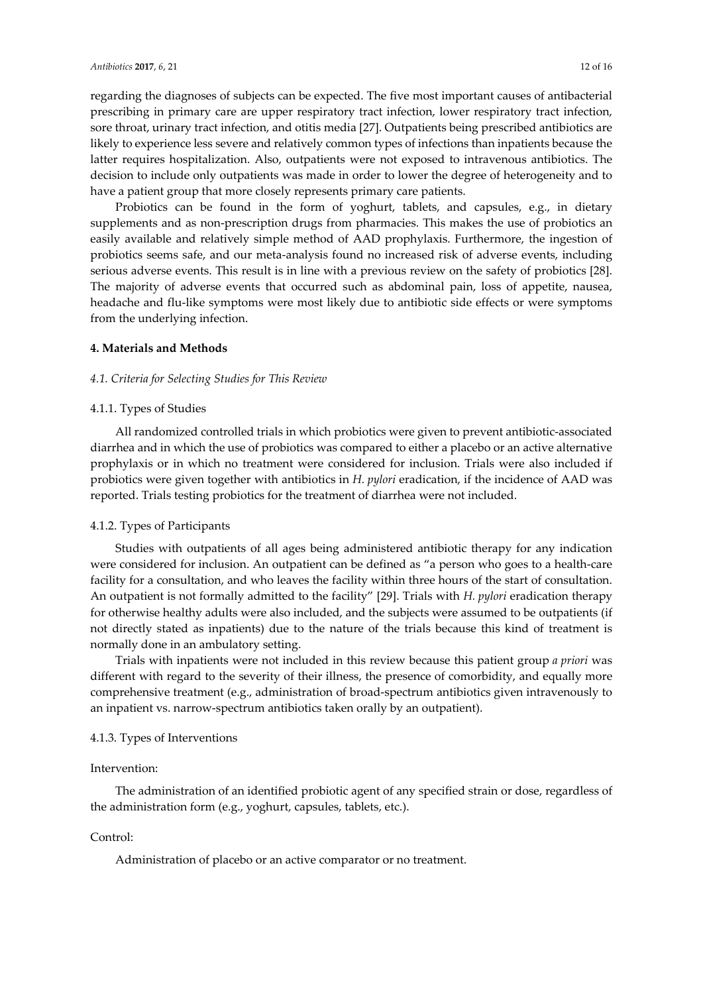regarding the diagnoses of subjects can be expected. The five most important causes of antibacterial prescribing in primary care are upper respiratory tract infection, lower respiratory tract infection, sore throat, urinary tract infection, and otitis media [27]. Outpatients being prescribed antibiotics are likely to experience less severe and relatively common types of infections than inpatients because the latter requires hospitalization. Also, outpatients were not exposed to intravenous antibiotics. The decision to include only outpatients was made in order to lower the degree of heterogeneity and to have a patient group that more closely represents primary care patients.

Probiotics can be found in the form of yoghurt, tablets, and capsules, e.g., in dietary supplements and as non-prescription drugs from pharmacies. This makes the use of probiotics an easily available and relatively simple method of AAD prophylaxis. Furthermore, the ingestion of probiotics seems safe, and our meta-analysis found no increased risk of adverse events, including serious adverse events. This result is in line with a previous review on the safety of probiotics [28]. The majority of adverse events that occurred such as abdominal pain, loss of appetite, nausea, headache and flu-like symptoms were most likely due to antibiotic side effects or were symptoms from the underlying infection.

# **4. Materials and Methods**

## *4.1. Criteria for Selecting Studies for This Review*

# 4.1.1. Types of Studies

All randomized controlled trials in which probiotics were given to prevent antibiotic-associated diarrhea and in which the use of probiotics was compared to either a placebo or an active alternative prophylaxis or in which no treatment were considered for inclusion. Trials were also included if probiotics were given together with antibiotics in *H. pylori* eradication, if the incidence of AAD was reported. Trials testing probiotics for the treatment of diarrhea were not included.

### 4.1.2. Types of Participants

Studies with outpatients of all ages being administered antibiotic therapy for any indication were considered for inclusion. An outpatient can be defined as "a person who goes to a health-care facility for a consultation, and who leaves the facility within three hours of the start of consultation. An outpatient is not formally admitted to the facility" [29]. Trials with *H. pylori* eradication therapy for otherwise healthy adults were also included, and the subjects were assumed to be outpatients (if not directly stated as inpatients) due to the nature of the trials because this kind of treatment is normally done in an ambulatory setting.

Trials with inpatients were not included in this review because this patient group *a priori* was different with regard to the severity of their illness, the presence of comorbidity, and equally more comprehensive treatment (e.g., administration of broad-spectrum antibiotics given intravenously to an inpatient vs. narrow-spectrum antibiotics taken orally by an outpatient).

#### 4.1.3. Types of Interventions

#### Intervention:

The administration of an identified probiotic agent of any specified strain or dose, regardless of the administration form (e.g., yoghurt, capsules, tablets, etc.).

# Control:

Administration of placebo or an active comparator or no treatment.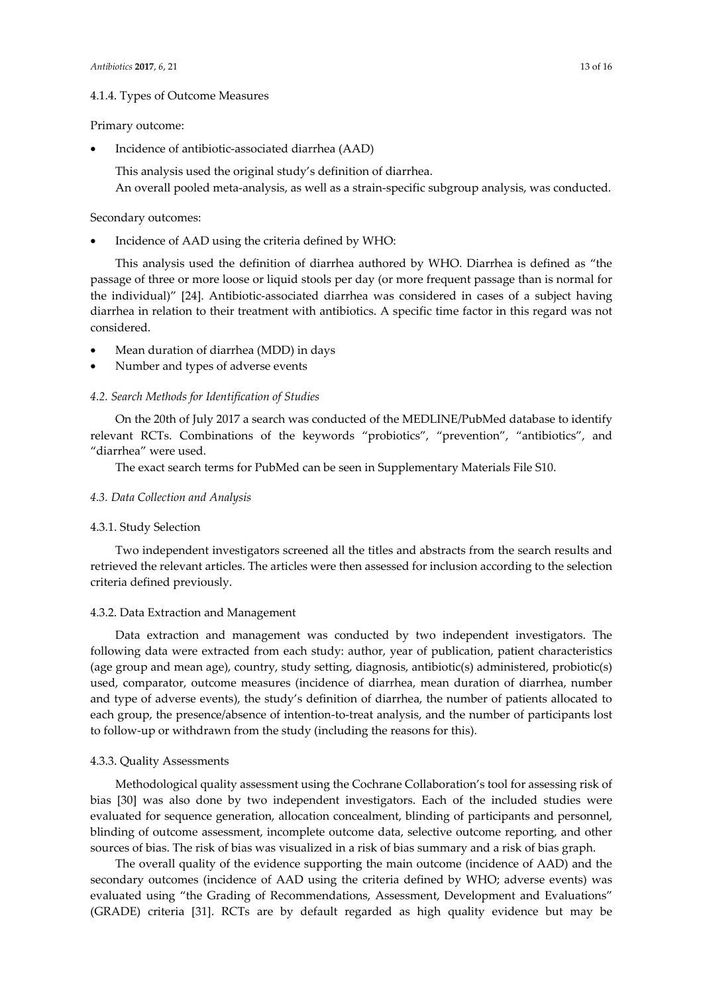# 4.1.4. Types of Outcome Measures

## Primary outcome:

• Incidence of antibiotic-associated diarrhea (AAD)

This analysis used the original study's definition of diarrhea. An overall pooled meta-analysis, as well as a strain-specific subgroup analysis, was conducted.

## Secondary outcomes:

• Incidence of AAD using the criteria defined by WHO:

This analysis used the definition of diarrhea authored by WHO. Diarrhea is defined as "the passage of three or more loose or liquid stools per day (or more frequent passage than is normal for the individual)" [24]. Antibiotic-associated diarrhea was considered in cases of a subject having diarrhea in relation to their treatment with antibiotics. A specific time factor in this regard was not considered.

- Mean duration of diarrhea (MDD) in days
- Number and types of adverse events

## *4.2. Search Methods for Identification of Studies*

On the 20th of July 2017 a search was conducted of the MEDLINE/PubMed database to identify relevant RCTs. Combinations of the keywords "probiotics", "prevention", "antibiotics", and "diarrhea" were used.

The exact search terms for PubMed can be seen in Supplementary Materials File S10.

## *4.3. Data Collection and Analysis*

# 4.3.1. Study Selection

Two independent investigators screened all the titles and abstracts from the search results and retrieved the relevant articles. The articles were then assessed for inclusion according to the selection criteria defined previously.

## 4.3.2. Data Extraction and Management

Data extraction and management was conducted by two independent investigators. The following data were extracted from each study: author, year of publication, patient characteristics (age group and mean age), country, study setting, diagnosis, antibiotic(s) administered, probiotic(s) used, comparator, outcome measures (incidence of diarrhea, mean duration of diarrhea, number and type of adverse events), the study's definition of diarrhea, the number of patients allocated to each group, the presence/absence of intention-to-treat analysis, and the number of participants lost to follow-up or withdrawn from the study (including the reasons for this).

## 4.3.3. Quality Assessments

Methodological quality assessment using the Cochrane Collaboration's tool for assessing risk of bias [30] was also done by two independent investigators. Each of the included studies were evaluated for sequence generation, allocation concealment, blinding of participants and personnel, blinding of outcome assessment, incomplete outcome data, selective outcome reporting, and other sources of bias. The risk of bias was visualized in a risk of bias summary and a risk of bias graph.

The overall quality of the evidence supporting the main outcome (incidence of AAD) and the secondary outcomes (incidence of AAD using the criteria defined by WHO; adverse events) was evaluated using "the Grading of Recommendations, Assessment, Development and Evaluations" (GRADE) criteria [31]. RCTs are by default regarded as high quality evidence but may be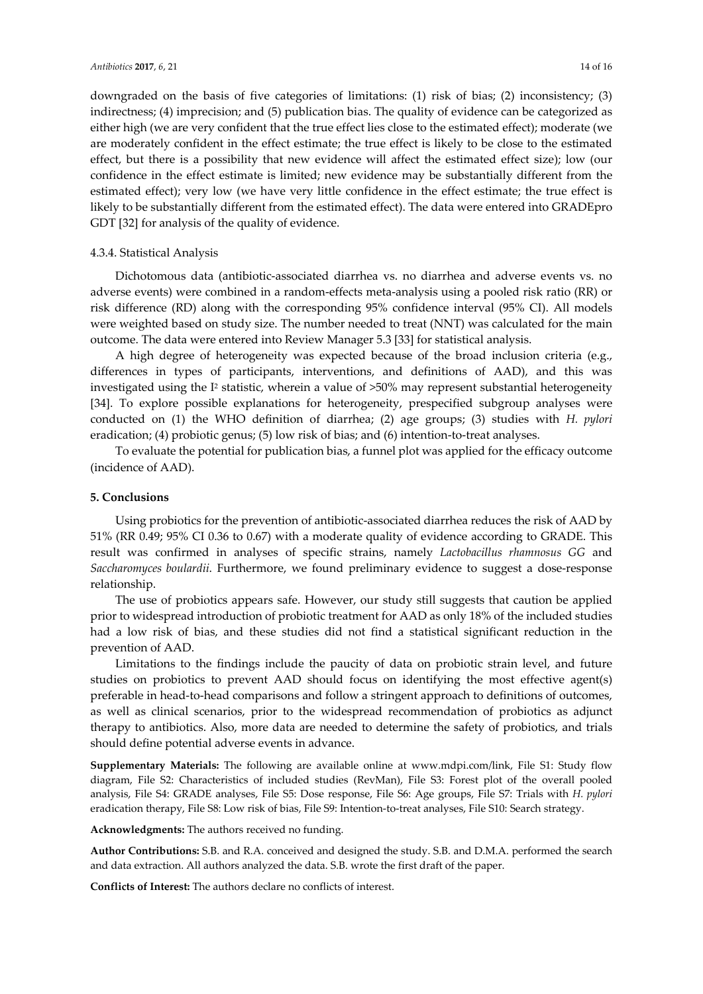downgraded on the basis of five categories of limitations: (1) risk of bias; (2) inconsistency; (3) indirectness; (4) imprecision; and (5) publication bias. The quality of evidence can be categorized as either high (we are very confident that the true effect lies close to the estimated effect); moderate (we are moderately confident in the effect estimate; the true effect is likely to be close to the estimated effect, but there is a possibility that new evidence will affect the estimated effect size); low (our confidence in the effect estimate is limited; new evidence may be substantially different from the estimated effect); very low (we have very little confidence in the effect estimate; the true effect is likely to be substantially different from the estimated effect). The data were entered into GRADEpro GDT [32] for analysis of the quality of evidence.

# 4.3.4. Statistical Analysis

Dichotomous data (antibiotic-associated diarrhea vs. no diarrhea and adverse events vs. no adverse events) were combined in a random-effects meta-analysis using a pooled risk ratio (RR) or risk difference (RD) along with the corresponding 95% confidence interval (95% CI). All models were weighted based on study size. The number needed to treat (NNT) was calculated for the main outcome. The data were entered into Review Manager 5.3 [33] for statistical analysis.

A high degree of heterogeneity was expected because of the broad inclusion criteria (e.g., differences in types of participants, interventions, and definitions of AAD), and this was investigated using the  $I^2$  statistic, wherein a value of  $>50\%$  may represent substantial heterogeneity [34]. To explore possible explanations for heterogeneity, prespecified subgroup analyses were conducted on (1) the WHO definition of diarrhea; (2) age groups; (3) studies with *H. pylori* eradication; (4) probiotic genus; (5) low risk of bias; and (6) intention-to-treat analyses.

To evaluate the potential for publication bias, a funnel plot was applied for the efficacy outcome (incidence of AAD).

# **5. Conclusions**

Using probiotics for the prevention of antibiotic-associated diarrhea reduces the risk of AAD by 51% (RR 0.49; 95% CI 0.36 to 0.67) with a moderate quality of evidence according to GRADE. This result was confirmed in analyses of specific strains, namely *Lactobacillus rhamnosus GG* and *Saccharomyces boulardii*. Furthermore, we found preliminary evidence to suggest a dose-response relationship.

The use of probiotics appears safe. However, our study still suggests that caution be applied prior to widespread introduction of probiotic treatment for AAD as only 18% of the included studies had a low risk of bias, and these studies did not find a statistical significant reduction in the prevention of AAD.

Limitations to the findings include the paucity of data on probiotic strain level, and future studies on probiotics to prevent AAD should focus on identifying the most effective agent(s) preferable in head-to-head comparisons and follow a stringent approach to definitions of outcomes, as well as clinical scenarios, prior to the widespread recommendation of probiotics as adjunct therapy to antibiotics. Also, more data are needed to determine the safety of probiotics, and trials should define potential adverse events in advance.

**Supplementary Materials:** The following are available online at www.mdpi.com/link, File S1: Study flow diagram, File S2: Characteristics of included studies (RevMan), File S3: Forest plot of the overall pooled analysis, File S4: GRADE analyses, File S5: Dose response, File S6: Age groups, File S7: Trials with *H. pylori* eradication therapy, File S8: Low risk of bias, File S9: Intention-to-treat analyses, File S10: Search strategy.

**Acknowledgments:** The authors received no funding.

**Author Contributions:** S.B. and R.A. conceived and designed the study. S.B. and D.M.A. performed the search and data extraction. All authors analyzed the data. S.B. wrote the first draft of the paper.

**Conflicts of Interest:** The authors declare no conflicts of interest.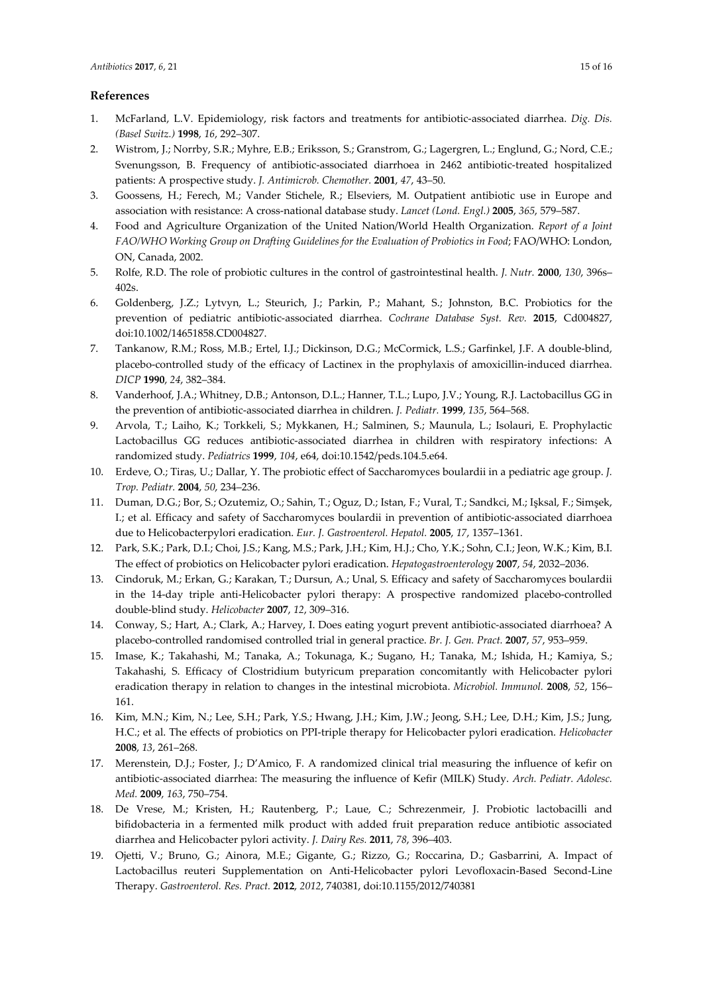# **References**

- 1. McFarland, L.V. Epidemiology, risk factors and treatments for antibiotic-associated diarrhea. *Dig. Dis. (Basel Switz.)* **1998**, *16*, 292–307.
- 2. Wistrom, J.; Norrby, S.R.; Myhre, E.B.; Eriksson, S.; Granstrom, G.; Lagergren, L.; Englund, G.; Nord, C.E.; Svenungsson, B. Frequency of antibiotic-associated diarrhoea in 2462 antibiotic-treated hospitalized patients: A prospective study. *J. Antimicrob. Chemother.* **2001**, *47*, 43–50.
- 3. Goossens, H.; Ferech, M.; Vander Stichele, R.; Elseviers, M. Outpatient antibiotic use in Europe and association with resistance: A cross-national database study. *Lancet (Lond. Engl.)* **2005**, *365*, 579–587.
- 4. Food and Agriculture Organization of the United Nation/World Health Organization. *Report of a Joint FAO/WHO Working Group on Drafting Guidelines for the Evaluation of Probiotics in Food*; FAO/WHO: London, ON, Canada, 2002.
- 5. Rolfe, R.D. The role of probiotic cultures in the control of gastrointestinal health. *J. Nutr.* **2000**, *130*, 396s– 402s.
- 6. Goldenberg, J.Z.; Lytvyn, L.; Steurich, J.; Parkin, P.; Mahant, S.; Johnston, B.C. Probiotics for the prevention of pediatric antibiotic-associated diarrhea. *Cochrane Database Syst. Rev.* **2015**, Cd004827, doi:10.1002/14651858.CD004827.
- 7. Tankanow, R.M.; Ross, M.B.; Ertel, I.J.; Dickinson, D.G.; McCormick, L.S.; Garfinkel, J.F. A double-blind, placebo-controlled study of the efficacy of Lactinex in the prophylaxis of amoxicillin-induced diarrhea. *DICP* **1990**, *24*, 382–384.
- 8. Vanderhoof, J.A.; Whitney, D.B.; Antonson, D.L.; Hanner, T.L.; Lupo, J.V.; Young, R.J. Lactobacillus GG in the prevention of antibiotic-associated diarrhea in children. *J. Pediatr.* **1999**, *135*, 564–568.
- 9. Arvola, T.; Laiho, K.; Torkkeli, S.; Mykkanen, H.; Salminen, S.; Maunula, L.; Isolauri, E. Prophylactic Lactobacillus GG reduces antibiotic-associated diarrhea in children with respiratory infections: A randomized study. *Pediatrics* **1999**, *104*, e64, doi:10.1542/peds.104.5.e64.
- 10. Erdeve, O.; Tiras, U.; Dallar, Y. The probiotic effect of Saccharomyces boulardii in a pediatric age group. *J. Trop. Pediatr.* **2004**, *50*, 234–236.
- 11. Duman, D.G.; Bor, S.; Ozutemiz, O.; Sahin, T.; Oguz, D.; Istan, F.; Vural, T.; Sandkci, M.; Işksal, F.; Simşek, I.; et al. Efficacy and safety of Saccharomyces boulardii in prevention of antibiotic-associated diarrhoea due to Helicobacterpylori eradication. *Eur. J. Gastroenterol. Hepatol.* **2005**, *17*, 1357–1361.
- 12. Park, S.K.; Park, D.I.; Choi, J.S.; Kang, M.S.; Park, J.H.; Kim, H.J.; Cho, Y.K.; Sohn, C.I.; Jeon, W.K.; Kim, B.I. The effect of probiotics on Helicobacter pylori eradication. *Hepatogastroenterology* **2007**, *54*, 2032–2036.
- 13. Cindoruk, M.; Erkan, G.; Karakan, T.; Dursun, A.; Unal, S. Efficacy and safety of Saccharomyces boulardii in the 14-day triple anti-Helicobacter pylori therapy: A prospective randomized placebo-controlled double-blind study. *Helicobacter* **2007**, *12*, 309–316.
- 14. Conway, S.; Hart, A.; Clark, A.; Harvey, I. Does eating yogurt prevent antibiotic-associated diarrhoea? A placebo-controlled randomised controlled trial in general practice. *Br. J. Gen. Pract.* **2007**, *57*, 953–959.
- 15. Imase, K.; Takahashi, M.; Tanaka, A.; Tokunaga, K.; Sugano, H.; Tanaka, M.; Ishida, H.; Kamiya, S.; Takahashi, S. Efficacy of Clostridium butyricum preparation concomitantly with Helicobacter pylori eradication therapy in relation to changes in the intestinal microbiota. *Microbiol. Immunol.* **2008**, *52*, 156– 161.
- 16. Kim, M.N.; Kim, N.; Lee, S.H.; Park, Y.S.; Hwang, J.H.; Kim, J.W.; Jeong, S.H.; Lee, D.H.; Kim, J.S.; Jung, H.C.; et al. The effects of probiotics on PPI-triple therapy for Helicobacter pylori eradication. *Helicobacter* **2008**, *13*, 261–268.
- 17. Merenstein, D.J.; Foster, J.; D'Amico, F. A randomized clinical trial measuring the influence of kefir on antibiotic-associated diarrhea: The measuring the influence of Kefir (MILK) Study. *Arch. Pediatr. Adolesc. Med.* **2009**, *163*, 750–754.
- 18. De Vrese, M.; Kristen, H.; Rautenberg, P.; Laue, C.; Schrezenmeir, J. Probiotic lactobacilli and bifidobacteria in a fermented milk product with added fruit preparation reduce antibiotic associated diarrhea and Helicobacter pylori activity. *J. Dairy Res.* **2011**, *78*, 396–403.
- 19. Ojetti, V.; Bruno, G.; Ainora, M.E.; Gigante, G.; Rizzo, G.; Roccarina, D.; Gasbarrini, A. Impact of Lactobacillus reuteri Supplementation on Anti-Helicobacter pylori Levofloxacin-Based Second-Line Therapy. *Gastroenterol. Res. Pract.* **2012**, *2012*, 740381, doi:10.1155/2012/740381